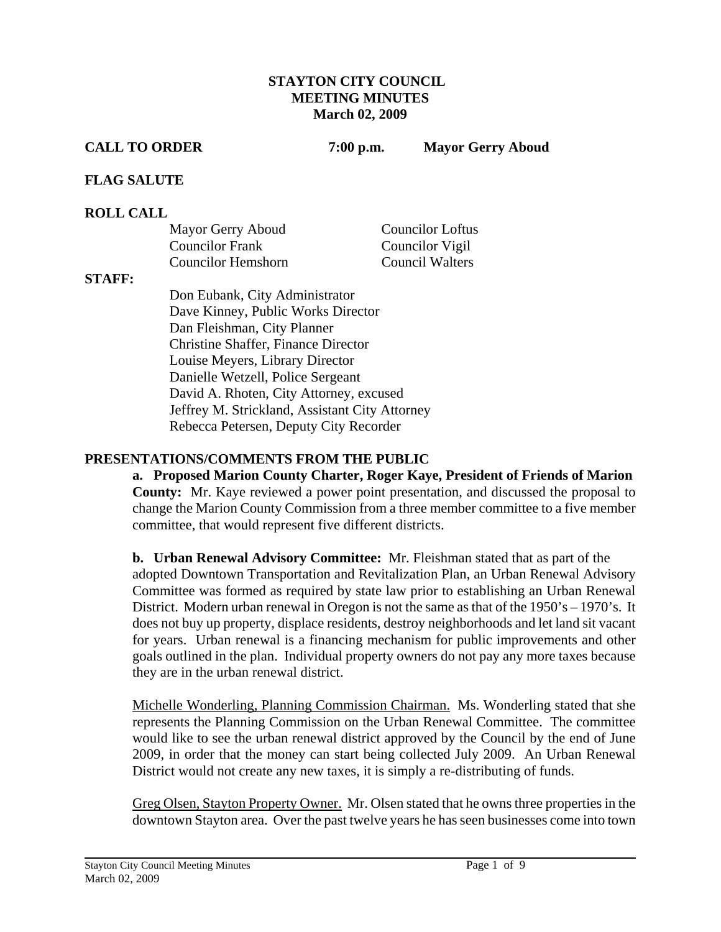#### **STAYTON CITY COUNCIL MEETING MINUTES March 02, 2009**

**CALL TO ORDER 7:00 p.m. Mayor Gerry Aboud** 

#### **FLAG SALUTE**

#### **ROLL CALL**

| Mayor Gerry Aboud      | <b>Councilor Loftus</b> |
|------------------------|-------------------------|
| <b>Councilor Frank</b> | Councilor Vigil         |
| Councilor Hemshorn     | <b>Council Walters</b>  |

#### **STAFF:**

Don Eubank, City Administrator Dave Kinney, Public Works Director Dan Fleishman, City Planner Christine Shaffer, Finance Director Louise Meyers, Library Director Danielle Wetzell, Police Sergeant David A. Rhoten, City Attorney, excused Jeffrey M. Strickland, Assistant City Attorney Rebecca Petersen, Deputy City Recorder

#### **PRESENTATIONS/COMMENTS FROM THE PUBLIC**

**a. Proposed Marion County Charter, Roger Kaye, President of Friends of Marion County:** Mr. Kaye reviewed a power point presentation, and discussed the proposal to change the Marion County Commission from a three member committee to a five member committee, that would represent five different districts.

**b. Urban Renewal Advisory Committee:** Mr. Fleishman stated that as part of the adopted Downtown Transportation and Revitalization Plan, an Urban Renewal Advisory Committee was formed as required by state law prior to establishing an Urban Renewal District. Modern urban renewal in Oregon is not the same as that of the 1950's – 1970's. It does not buy up property, displace residents, destroy neighborhoods and let land sit vacant for years. Urban renewal is a financing mechanism for public improvements and other goals outlined in the plan. Individual property owners do not pay any more taxes because they are in the urban renewal district.

Michelle Wonderling, Planning Commission Chairman. Ms. Wonderling stated that she represents the Planning Commission on the Urban Renewal Committee. The committee would like to see the urban renewal district approved by the Council by the end of June 2009, in order that the money can start being collected July 2009. An Urban Renewal District would not create any new taxes, it is simply a re-distributing of funds.

Greg Olsen, Stayton Property Owner. Mr. Olsen stated that he owns three properties in the downtown Stayton area. Over the past twelve years he has seen businesses come into town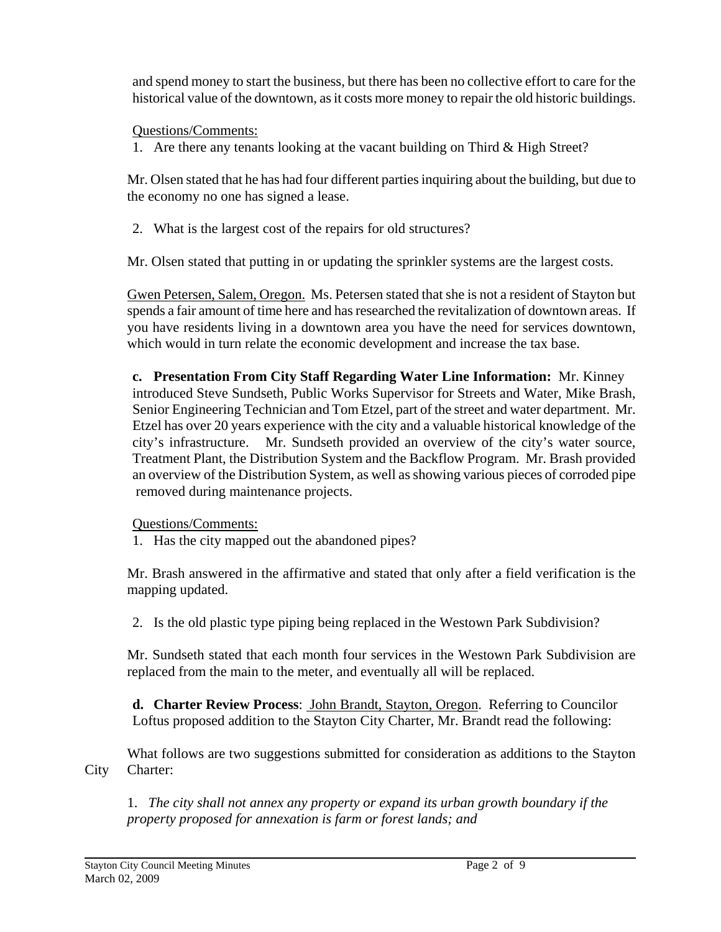and spend money to start the business, but there has been no collective effort to care for the historical value of the downtown, as it costs more money to repair the old historic buildings.

Questions/Comments:

1. Are there any tenants looking at the vacant building on Third & High Street?

 Mr. Olsen stated that he has had four different parties inquiring about the building, but due to the economy no one has signed a lease.

2. What is the largest cost of the repairs for old structures?

Mr. Olsen stated that putting in or updating the sprinkler systems are the largest costs.

Gwen Petersen, Salem, Oregon. Ms. Petersen stated that she is not a resident of Stayton but spends a fair amount of time here and has researched the revitalization of downtown areas. If you have residents living in a downtown area you have the need for services downtown, which would in turn relate the economic development and increase the tax base.

**c. Presentation From City Staff Regarding Water Line Information:** Mr. Kinney introduced Steve Sundseth, Public Works Supervisor for Streets and Water, Mike Brash, Senior Engineering Technician and Tom Etzel, part of the street and water department. Mr. Etzel has over 20 years experience with the city and a valuable historical knowledge of the city's infrastructure. Mr. Sundseth provided an overview of the city's water source, Treatment Plant, the Distribution System and the Backflow Program. Mr. Brash provided an overview of the Distribution System, as well as showing various pieces of corroded pipe removed during maintenance projects.

# Questions/Comments:

1. Has the city mapped out the abandoned pipes?

 Mr. Brash answered in the affirmative and stated that only after a field verification is the mapping updated.

2. Is the old plastic type piping being replaced in the Westown Park Subdivision?

 Mr. Sundseth stated that each month four services in the Westown Park Subdivision are replaced from the main to the meter, and eventually all will be replaced.

**d. Charter Review Process**: John Brandt, Stayton, Oregon. Referring to Councilor Loftus proposed addition to the Stayton City Charter, Mr. Brandt read the following:

 What follows are two suggestions submitted for consideration as additions to the Stayton City Charter:

1. *The city shall not annex any property or expand its urban growth boundary if the property proposed for annexation is farm or forest lands; and*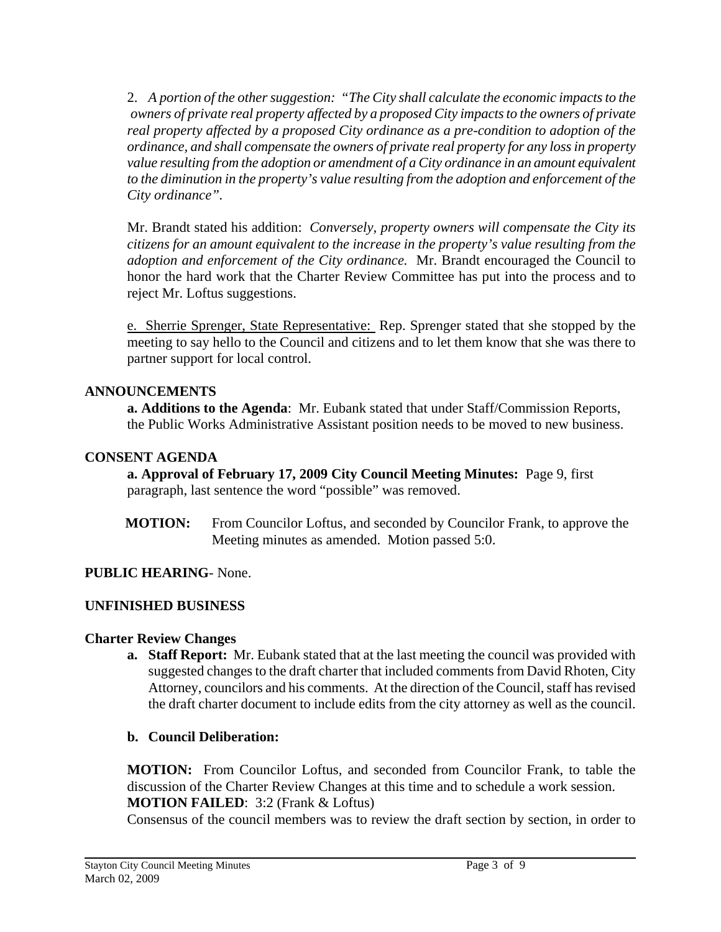2. *A portion of the other suggestion: "The City shall calculate the economic impacts to the owners of private real property affected by a proposed City impacts to the owners of private real property affected by a proposed City ordinance as a pre-condition to adoption of the ordinance, and shall compensate the owners of private real property for any loss in property value resulting from the adoption or amendment of a City ordinance in an amount equivalent to the diminution in the property's value resulting from the adoption and enforcement of the City ordinance".* 

Mr. Brandt stated his addition: *Conversely, property owners will compensate the City its citizens for an amount equivalent to the increase in the property's value resulting from the adoption and enforcement of the City ordinance.* Mr. Brandt encouraged the Council to honor the hard work that the Charter Review Committee has put into the process and to reject Mr. Loftus suggestions.

e. Sherrie Sprenger, State Representative: Rep. Sprenger stated that she stopped by the meeting to say hello to the Council and citizens and to let them know that she was there to partner support for local control.

#### **ANNOUNCEMENTS**

 **a. Additions to the Agenda**: Mr. Eubank stated that under Staff/Commission Reports, the Public Works Administrative Assistant position needs to be moved to new business.

#### **CONSENT AGENDA**

**a. Approval of February 17, 2009 City Council Meeting Minutes:** Page 9, first paragraph, last sentence the word "possible" was removed.

**MOTION:** From Councilor Loftus, and seconded by Councilor Frank, to approve the Meeting minutes as amended. Motion passed 5:0.

# **PUBLIC HEARING**- None.

#### **UNFINISHED BUSINESS**

#### **Charter Review Changes**

**a. Staff Report:** Mr. Eubank stated that at the last meeting the council was provided with suggested changes to the draft charter that included comments from David Rhoten, City Attorney, councilors and his comments. At the direction of the Council, staff has revised the draft charter document to include edits from the city attorney as well as the council.

#### **b. Council Deliberation:**

 **MOTION:** From Councilor Loftus, and seconded from Councilor Frank, to table the discussion of the Charter Review Changes at this time and to schedule a work session. **MOTION FAILED**: 3:2 (Frank & Loftus)

Consensus of the council members was to review the draft section by section, in order to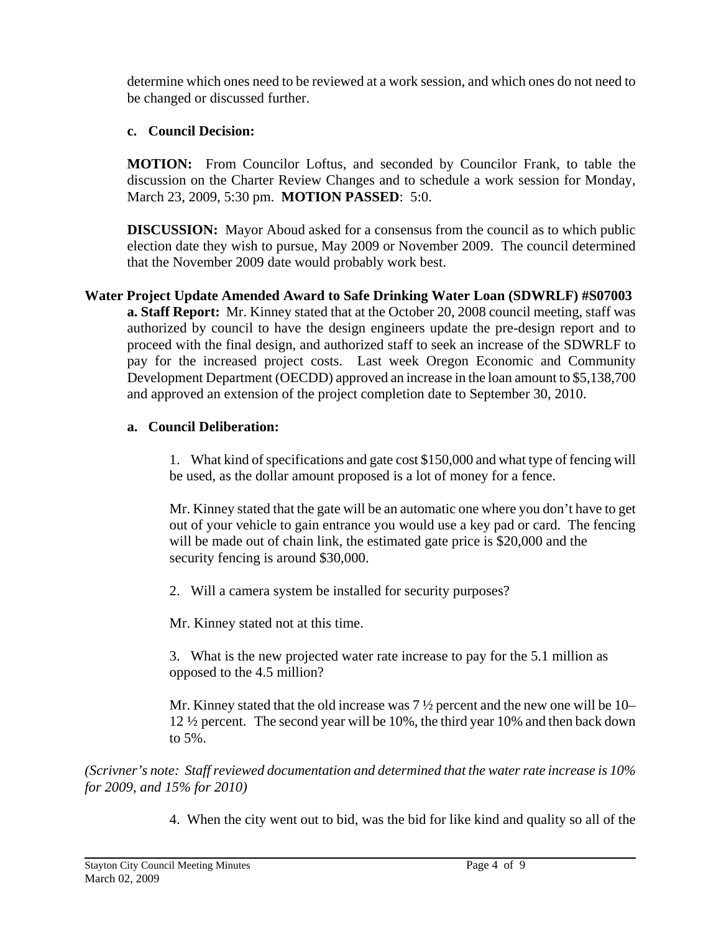determine which ones need to be reviewed at a work session, and which ones do not need to be changed or discussed further.

# **c. Council Decision:**

**MOTION:** From Councilor Loftus, and seconded by Councilor Frank, to table the discussion on the Charter Review Changes and to schedule a work session for Monday, March 23, 2009, 5:30 pm. **MOTION PASSED**: 5:0.

**DISCUSSION:** Mayor Aboud asked for a consensus from the council as to which public election date they wish to pursue, May 2009 or November 2009. The council determined that the November 2009 date would probably work best.

# **Water Project Update Amended Award to Safe Drinking Water Loan (SDWRLF) #S07003**

**a. Staff Report:** Mr. Kinney stated that at the October 20, 2008 council meeting, staff was authorized by council to have the design engineers update the pre-design report and to proceed with the final design, and authorized staff to seek an increase of the SDWRLF to pay for the increased project costs. Last week Oregon Economic and Community Development Department (OECDD) approved an increase in the loan amount to \$5,138,700 and approved an extension of the project completion date to September 30, 2010.

# **a. Council Deliberation:**

1. What kind of specifications and gate cost \$150,000 and what type of fencing will be used, as the dollar amount proposed is a lot of money for a fence.

 Mr. Kinney stated that the gate will be an automatic one where you don't have to get out of your vehicle to gain entrance you would use a key pad or card. The fencing will be made out of chain link, the estimated gate price is \$20,000 and the security fencing is around \$30,000.

2. Will a camera system be installed for security purposes?

Mr. Kinney stated not at this time.

3. What is the new projected water rate increase to pay for the 5.1 million as opposed to the 4.5 million?

 Mr. Kinney stated that the old increase was 7 ½ percent and the new one will be 10– 12 ½ percent. The second year will be 10%, the third year 10% and then back down to 5%.

*(Scrivner's note: Staff reviewed documentation and determined that the water rate increase is 10% for 2009, and 15% for 2010)* 

4. When the city went out to bid, was the bid for like kind and quality so all of the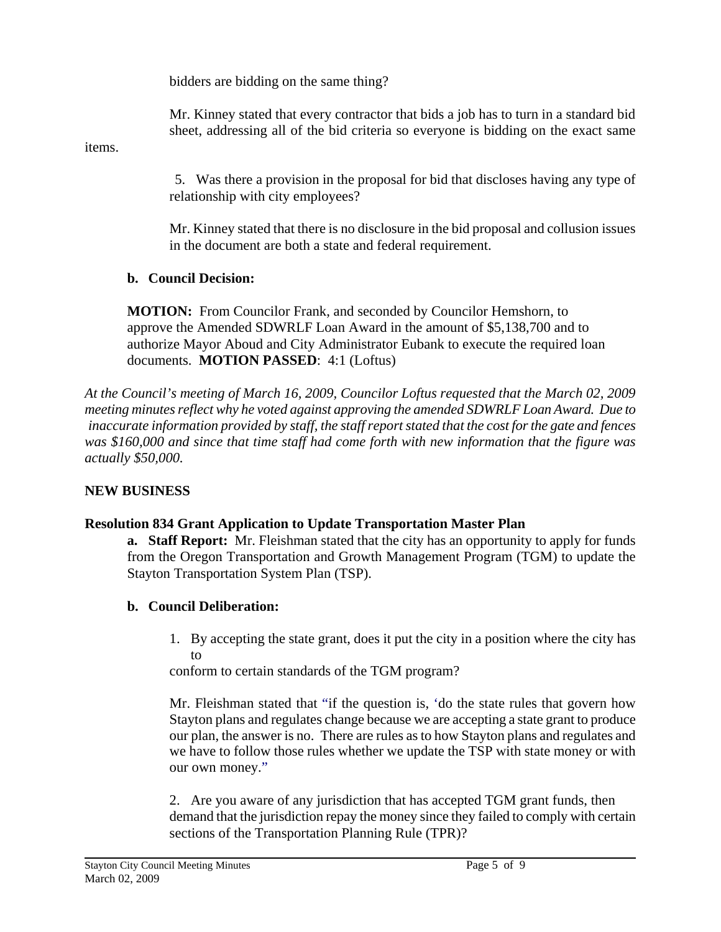bidders are bidding on the same thing?

 Mr. Kinney stated that every contractor that bids a job has to turn in a standard bid sheet, addressing all of the bid criteria so everyone is bidding on the exact same

items.

5. Was there a provision in the proposal for bid that discloses having any type of relationship with city employees?

 Mr. Kinney stated that there is no disclosure in the bid proposal and collusion issues in the document are both a state and federal requirement.

# **b. Council Decision:**

 **MOTION:** From Councilor Frank, and seconded by Councilor Hemshorn, to approve the Amended SDWRLF Loan Award in the amount of \$5,138,700 and to authorize Mayor Aboud and City Administrator Eubank to execute the required loan documents. **MOTION PASSED**: 4:1 (Loftus)

*At the Council's meeting of March 16, 2009, Councilor Loftus requested that the March 02, 2009 meeting minutes reflect why he voted against approving the amended SDWRLF Loan Award. Due to inaccurate information provided by staff, the staff report stated that the cost for the gate and fences was \$160,000 and since that time staff had come forth with new information that the figure was actually \$50,000.*

# **NEW BUSINESS**

# **Resolution 834 Grant Application to Update Transportation Master Plan**

**a. Staff Report:** Mr. Fleishman stated that the city has an opportunity to apply for funds from the Oregon Transportation and Growth Management Program (TGM) to update the Stayton Transportation System Plan (TSP).

# **b. Council Deliberation:**

1. By accepting the state grant, does it put the city in a position where the city has to

conform to certain standards of the TGM program?

Mr. Fleishman stated that "if the question is, 'do the state rules that govern how Stayton plans and regulates change because we are accepting a state grant to produce our plan, the answer is no. There are rules as to how Stayton plans and regulates and we have to follow those rules whether we update the TSP with state money or with our own money."

2. Are you aware of any jurisdiction that has accepted TGM grant funds, then demand that the jurisdiction repay the money since they failed to comply with certain sections of the Transportation Planning Rule (TPR)?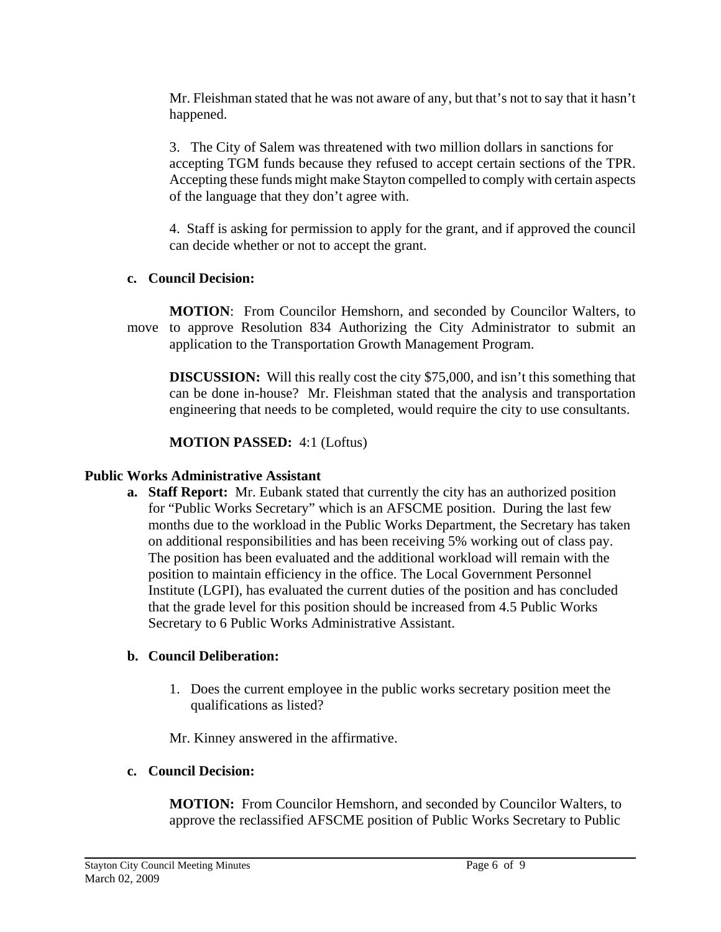Mr. Fleishman stated that he was not aware of any, but that's not to say that it hasn't happened.

3. The City of Salem was threatened with two million dollars in sanctions for accepting TGM funds because they refused to accept certain sections of the TPR. Accepting these funds might make Stayton compelled to comply with certain aspects of the language that they don't agree with.

 4. Staff is asking for permission to apply for the grant, and if approved the council can decide whether or not to accept the grant.

# **c. Council Decision:**

 **MOTION**: From Councilor Hemshorn, and seconded by Councilor Walters, to move to approve Resolution 834 Authorizing the City Administrator to submit an application to the Transportation Growth Management Program.

**DISCUSSION:** Will this really cost the city \$75,000, and isn't this something that can be done in-house? Mr. Fleishman stated that the analysis and transportation engineering that needs to be completed, would require the city to use consultants.

**MOTION PASSED:** 4:1 (Loftus)

#### **Public Works Administrative Assistant**

**a. Staff Report:** Mr. Eubank stated that currently the city has an authorized position for "Public Works Secretary" which is an AFSCME position. During the last few months due to the workload in the Public Works Department, the Secretary has taken on additional responsibilities and has been receiving 5% working out of class pay. The position has been evaluated and the additional workload will remain with the position to maintain efficiency in the office. The Local Government Personnel Institute (LGPI), has evaluated the current duties of the position and has concluded that the grade level for this position should be increased from 4.5 Public Works Secretary to 6 Public Works Administrative Assistant.

# **b. Council Deliberation:**

1. Does the current employee in the public works secretary position meet the qualifications as listed?

Mr. Kinney answered in the affirmative.

# **c. Council Decision:**

 **MOTION:** From Councilor Hemshorn, and seconded by Councilor Walters, to approve the reclassified AFSCME position of Public Works Secretary to Public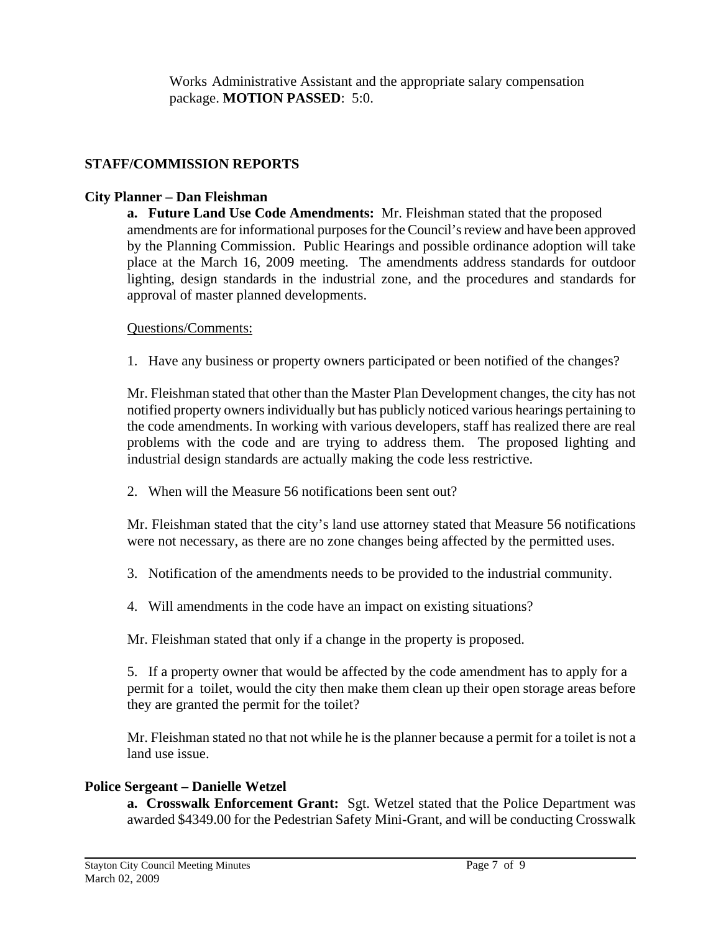Works Administrative Assistant and the appropriate salary compensation package. **MOTION PASSED**: 5:0.

# **STAFF/COMMISSION REPORTS**

#### **City Planner – Dan Fleishman**

**a. Future Land Use Code Amendments:** Mr. Fleishman stated that the proposed amendments are for informational purposes for the Council's review and have been approved by the Planning Commission. Public Hearings and possible ordinance adoption will take place at the March 16, 2009 meeting. The amendments address standards for outdoor lighting, design standards in the industrial zone, and the procedures and standards for approval of master planned developments.

#### Questions/Comments:

1. Have any business or property owners participated or been notified of the changes?

 Mr. Fleishman stated that other than the Master Plan Development changes, the city has not notified property owners individually but has publicly noticed various hearings pertaining to the code amendments. In working with various developers, staff has realized there are real problems with the code and are trying to address them. The proposed lighting and industrial design standards are actually making the code less restrictive.

2. When will the Measure 56 notifications been sent out?

 Mr. Fleishman stated that the city's land use attorney stated that Measure 56 notifications were not necessary, as there are no zone changes being affected by the permitted uses.

- 3. Notification of the amendments needs to be provided to the industrial community.
- 4. Will amendments in the code have an impact on existing situations?

Mr. Fleishman stated that only if a change in the property is proposed.

5. If a property owner that would be affected by the code amendment has to apply for a permit for a toilet, would the city then make them clean up their open storage areas before they are granted the permit for the toilet?

 Mr. Fleishman stated no that not while he is the planner because a permit for a toilet is not a land use issue.

#### **Police Sergeant – Danielle Wetzel**

 **a. Crosswalk Enforcement Grant:** Sgt. Wetzel stated that the Police Department was awarded \$4349.00 for the Pedestrian Safety Mini-Grant, and will be conducting Crosswalk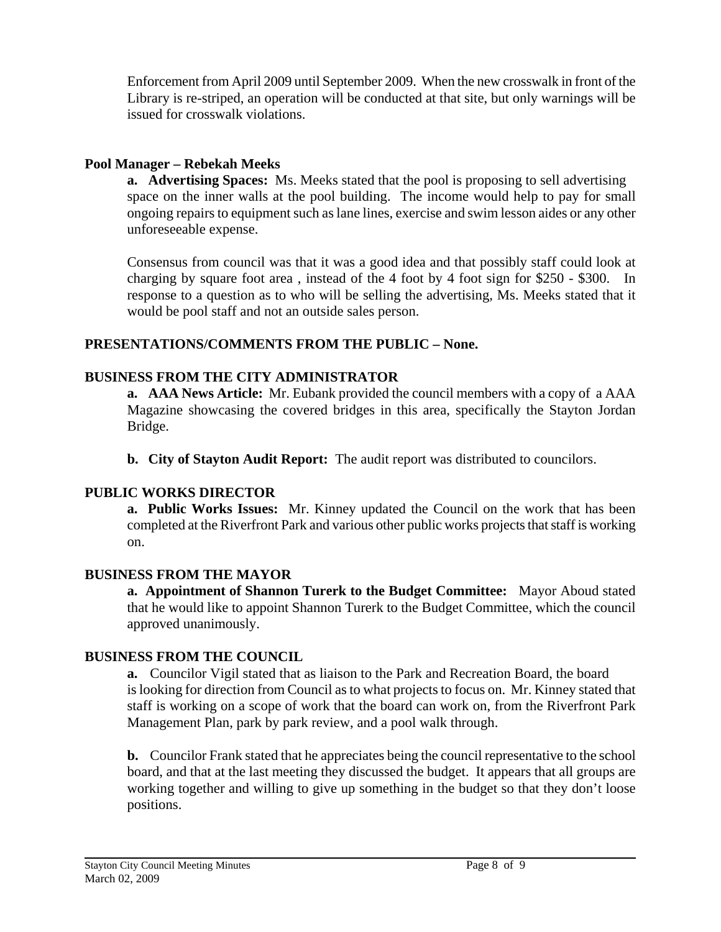Enforcement from April 2009 until September 2009. When the new crosswalk in front of the Library is re-striped, an operation will be conducted at that site, but only warnings will be issued for crosswalk violations.

# **Pool Manager – Rebekah Meeks**

**a. Advertising Spaces:** Ms. Meeks stated that the pool is proposing to sell advertising space on the inner walls at the pool building. The income would help to pay for small ongoing repairs to equipment such as lane lines, exercise and swim lesson aides or any other unforeseeable expense.

Consensus from council was that it was a good idea and that possibly staff could look at charging by square foot area , instead of the 4 foot by 4 foot sign for \$250 - \$300. In response to a question as to who will be selling the advertising, Ms. Meeks stated that it would be pool staff and not an outside sales person.

# **PRESENTATIONS/COMMENTS FROM THE PUBLIC – None.**

# **BUSINESS FROM THE CITY ADMINISTRATOR**

**a. AAA News Article:** Mr. Eubank provided the council members with a copy of a AAA Magazine showcasing the covered bridges in this area, specifically the Stayton Jordan Bridge.

**b. City of Stayton Audit Report:** The audit report was distributed to councilors.

#### **PUBLIC WORKS DIRECTOR**

 **a. Public Works Issues:** Mr. Kinney updated the Council on the work that has been completed at the Riverfront Park and various other public works projects that staff is working on.

#### **BUSINESS FROM THE MAYOR**

 **a. Appointment of Shannon Turerk to the Budget Committee:** Mayor Aboud stated that he would like to appoint Shannon Turerk to the Budget Committee, which the council approved unanimously.

# **BUSINESS FROM THE COUNCIL**

**a.** Councilor Vigil stated that as liaison to the Park and Recreation Board, the board is looking for direction from Council as to what projects to focus on. Mr. Kinney stated that staff is working on a scope of work that the board can work on, from the Riverfront Park Management Plan, park by park review, and a pool walk through.

**b.** Councilor Frank stated that he appreciates being the council representative to the school board, and that at the last meeting they discussed the budget. It appears that all groups are working together and willing to give up something in the budget so that they don't loose positions.